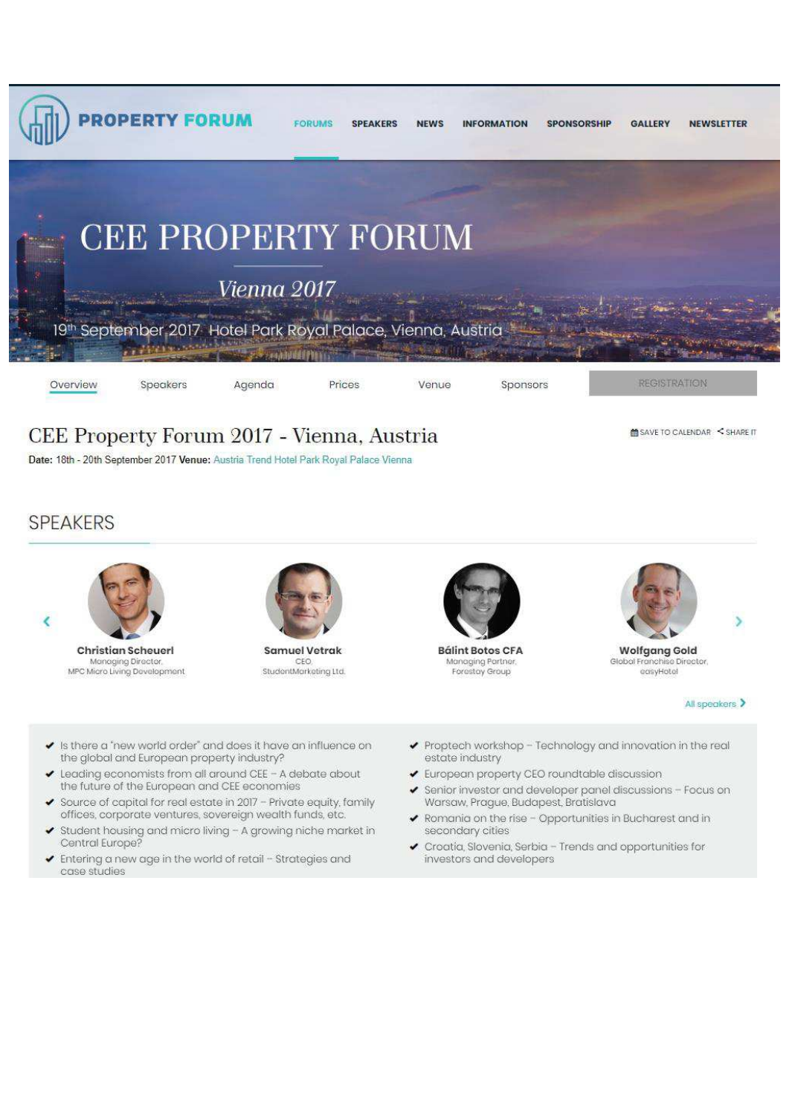

# CEE Property Forum 2017 - Vienna, Austria

Date: 18th - 20th September 2017 Venue: Austria Trend Hotel Park Royal Palace Vienna

**M** SAVE TO CALENDAR < SHARE IT

### **SPEAKERS**



**Christian Scheuerl** Managing Director, MPC Micro Living Development



**Samuel Vetrak** CEC StudentMorketing Ltd.



**Bálint Botos CFA** Managing Partner Forestay Group



**Wolfgang Gold** Global Franchise Director easyHotel

All speakers >

Ś

- ↓ Is there a 'new world order' and does it have an influence on the global and European property industry?
- Leading economists from all around CEE A debate about the future of the European and CEE economies
- Source of capital for real estate in 2017 Private equity, family  $\checkmark$ offices, corporate ventures, sovereign wealth funds, etc.
- Student housing and micro living A growing niche market in ٧ Central Europe?
- ✔ Entering a new age in the world of retail Strategies and case studies
- ◆ Proptech workshop Technology and innovation in the real estate industry
- European property CEO roundtable discussion
- Senior investor and developer panel discussions Focus on v Warsaw, Prague, Budapest, Bratislava
- Romania on the rise Opportunities in Bucharest and in secondary cities
- Croatia, Slovenia, Serbia Trends and opportunities for investors and developers